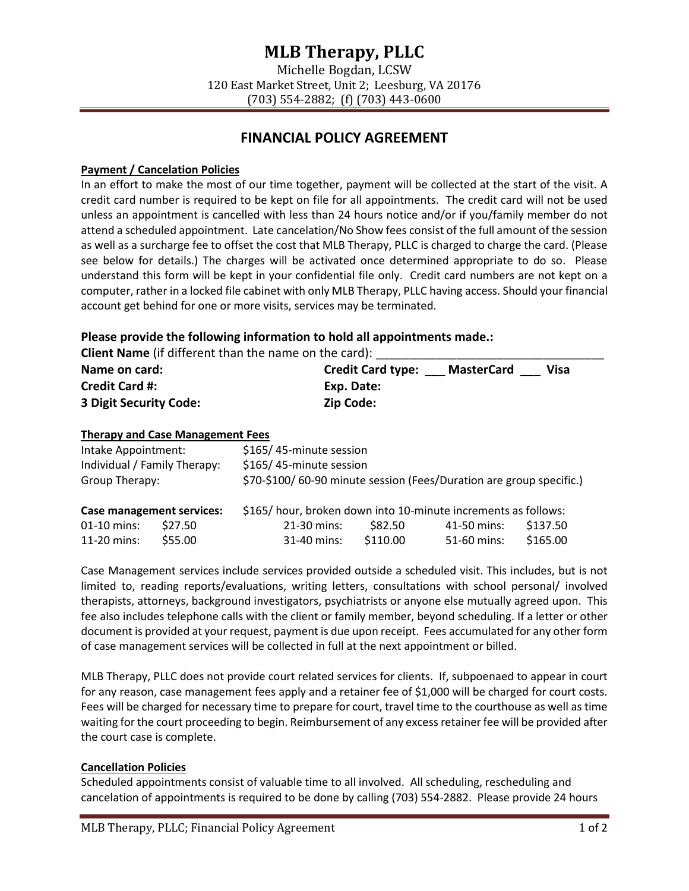# **MLB Therapy, PLLC**

Michelle Bogdan, LCSW 120 East Market Street, Unit 2; Leesburg, VA 20176 (703) 554-2882; (f) (703) 443-0600

# **FINANCIAL POLICY AGREEMENT**

#### **Payment / Cancelation Policies**

In an effort to make the most of our time together, payment will be collected at the start of the visit. A credit card number is required to be kept on file for all appointments. The credit card will not be used unless an appointment is cancelled with less than 24 hours notice and/or if you/family member do not attend a scheduled appointment. Late cancelation/No Show fees consist of the full amount of the session as well as a surcharge fee to offset the cost that MLB Therapy, PLLC is charged to charge the card. (Please see below for details.) The charges will be activated once determined appropriate to do so. Please understand this form will be kept in your confidential file only. Credit card numbers are not kept on a computer, rather in a locked file cabinet with only MLB Therapy, PLLC having access. Should your financial account get behind for one or more visits, services may be terminated.

#### **Please provide the following information to hold all appointments made.:**

**Client Name** (if different than the name on the card):

| Name on card:          | <b>Credit Card type:</b><br>Visa<br><b>MasterCard</b> |  |
|------------------------|-------------------------------------------------------|--|
| <b>Credit Card #:</b>  | Exp. Date:                                            |  |
| 3 Digit Security Code: | <b>Zip Code:</b>                                      |  |

#### **Therapy and Case Management Fees**

| Intake Appointment:<br>Individual / Family Therapy:<br>Group Therapy: |         | \$165/45-minute session<br>\$165/45-minute session<br>\$70-\$100/60-90 minute session (Fees/Duration are group specific.) |          |             |          |  |
|-----------------------------------------------------------------------|---------|---------------------------------------------------------------------------------------------------------------------------|----------|-------------|----------|--|
| <b>Case management services:</b>                                      |         | \$165/hour, broken down into 10-minute increments as follows:                                                             |          |             |          |  |
| 01-10 mins:                                                           | \$27.50 | 21-30 mins:                                                                                                               | \$82.50  | 41-50 mins: | \$137.50 |  |
| 11-20 mins:                                                           | \$55.00 | 31-40 mins:                                                                                                               | \$110.00 | 51-60 mins: | \$165.00 |  |

Case Management services include services provided outside a scheduled visit. This includes, but is not limited to, reading reports/evaluations, writing letters, consultations with school personal/ involved therapists, attorneys, background investigators, psychiatrists or anyone else mutually agreed upon. This fee also includes telephone calls with the client or family member, beyond scheduling. If a letter or other document is provided at your request, payment is due upon receipt. Fees accumulated for any other form of case management services will be collected in full at the next appointment or billed.

MLB Therapy, PLLC does not provide court related services for clients. If, subpoenaed to appear in court for any reason, case management fees apply and a retainer fee of \$1,000 will be charged for court costs. Fees will be charged for necessary time to prepare for court, travel time to the courthouse as well as time waiting for the court proceeding to begin. Reimbursement of any excess retainer fee will be provided after the court case is complete.

#### **Cancellation Policies**

Scheduled appointments consist of valuable time to all involved. All scheduling, rescheduling and cancelation of appointments is required to be done by calling (703) 554-2882. Please provide 24 hours